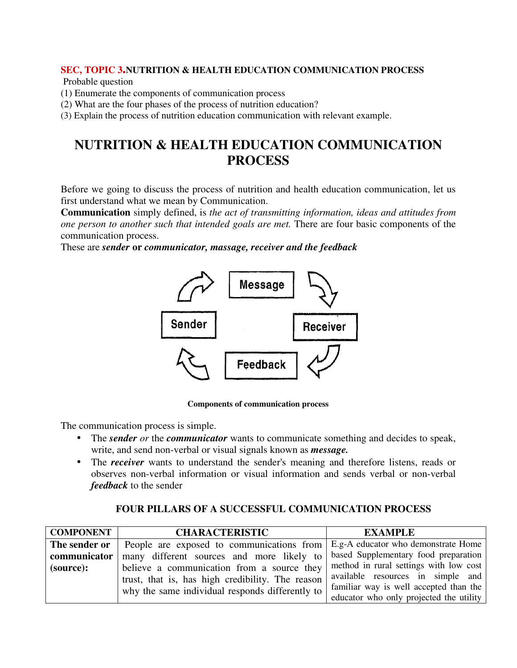## **SEC, TOPIC 3.NUTRITION & HEALTH EDUCATION COMMUNICATION PROCESS**

Probable question

- (1) Enumerate the components of communication process
- (2) What are the four phases of the process of nutrition education?
- (3) Explain the process of nutrition education communication with relevant example.

## **NUTRITION & HEALTH EDUCATION COMMUNICATION PROCESS**

Before we going to discuss the process of nutrition and health education communication, let us first understand what we mean by Communication.

**Communication** simply defined, is *the act of transmitting information, ideas and attitudes from one person to another such that intended goals are met.* There are four basic components of the communication process.

These are *sender* **or** *communicator, massage, receiver and the feedback*



 **Components of communication process**

The communication process is simple.

- The *sender or* the *communicator* wants to communicate something and decides to speak, write, and send non-verbal or visual signals known as *message.*
- The *receiver* wants to understand the sender's meaning and therefore listens, reads or observes non-verbal information or visual information and sends verbal or non-verbal *feedback* to the sender

## **FOUR PILLARS OF A SUCCESSFUL COMMUNICATION PROCESS**

| <b>COMPONENT</b> | <b>CHARACTERISTIC</b>                                                           | <b>EXAMPLE</b>                          |
|------------------|---------------------------------------------------------------------------------|-----------------------------------------|
| The sender or    | People are exposed to communications from   E.g-A educator who demonstrate Home |                                         |
| communicator     | many different sources and more likely to                                       | based Supplementary food preparation    |
| (source):        | believe a communication from a source they                                      | method in rural settings with low cost  |
|                  | trust, that is, has high credibility. The reason                                | available resources in simple and       |
|                  | why the same individual responds differently to                                 | familiar way is well accepted than the  |
|                  |                                                                                 | educator who only projected the utility |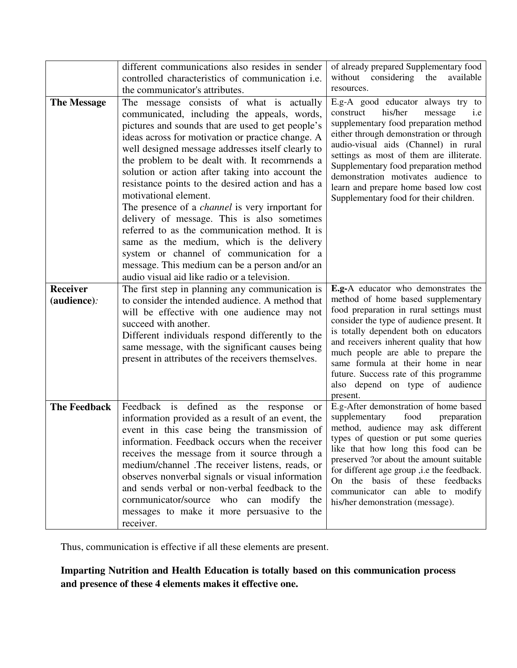|                                | different communications also resides in sender<br>controlled characteristics of communication <i>i.e.</i><br>the communicator's attributes.                                                                                                                                                                                                                                                                                                                                                                                                                                                                                                                                                                                                                                                     | of already prepared Supplementary food<br>without considering<br>the<br>available<br>resources.                                                                                                                                                                                                                                                                                                                              |
|--------------------------------|--------------------------------------------------------------------------------------------------------------------------------------------------------------------------------------------------------------------------------------------------------------------------------------------------------------------------------------------------------------------------------------------------------------------------------------------------------------------------------------------------------------------------------------------------------------------------------------------------------------------------------------------------------------------------------------------------------------------------------------------------------------------------------------------------|------------------------------------------------------------------------------------------------------------------------------------------------------------------------------------------------------------------------------------------------------------------------------------------------------------------------------------------------------------------------------------------------------------------------------|
| <b>The Message</b>             | The message consists of what is actually<br>communicated, including the appeals, words,<br>pictures and sounds that are used to get people's<br>ideas across for motivation or practice change. A<br>well designed message addresses itself clearly to<br>the problem to be dealt with. It recommends a<br>solution or action after taking into account the<br>resistance points to the desired action and has a<br>motivational element.<br>The presence of a <i>channel</i> is very irnportant for<br>delivery of message. This is also sometimes<br>referred to as the communication method. It is<br>same as the medium, which is the delivery<br>system or channel of communication for a<br>message. This medium can be a person and/or an<br>audio visual aid like radio or a television. | E.g-A good educator always try to<br>his/her<br>construct<br>message<br>i.e<br>supplementary food preparation method<br>either through demonstration or through<br>audio-visual aids (Channel) in rural<br>settings as most of them are illiterate.<br>Supplementary food preparation method<br>demonstration motivates audience to<br>learn and prepare home based low cost<br>Supplementary food for their children.       |
| <b>Receiver</b><br>(audience): | The first step in planning any communication is<br>to consider the intended audience. A method that<br>will be effective with one audience may not<br>succeed with another.<br>Different individuals respond differently to the<br>same message, with the significant causes being<br>present in attributes of the receivers themselves.                                                                                                                                                                                                                                                                                                                                                                                                                                                         | E.g-A educator who demonstrates the<br>method of home based supplementary<br>food preparation in rural settings must<br>consider the type of audience present. It<br>is totally dependent both on educators<br>and receivers inherent quality that how<br>much people are able to prepare the<br>same formula at their home in near<br>future. Success rate of this programme<br>also depend on type of audience<br>present. |
| <b>The Feedback</b>            | Feedback is defined<br>as the response<br><b>or</b><br>information provided as a result of an event, the<br>event in this case being the transmission of<br>information. Feedback occurs when the receiver<br>receives the message from it source through a<br>medium/channel .The receiver listens, reads, or<br>observes nonverbal signals or visual information<br>and sends verbal or non-verbal feedback to the<br>cornmunicator/source who can modify the<br>messages to make it more persuasive to the<br>receiver.                                                                                                                                                                                                                                                                       | E.g-After demonstration of home based<br>food<br>supplementary<br>preparation<br>method, audience may ask different<br>types of question or put some queries<br>like that how long this food can be<br>preserved ?or about the amount suitable<br>for different age group , i.e the feedback.<br>On the basis of these feedbacks<br>communicator can able to modify<br>his/her demonstration (message).                      |

Thus, communication is effective if all these elements are present.

**Imparting Nutrition and Health Education is totally based on this communication process and presence of these 4 elements makes it effective one.**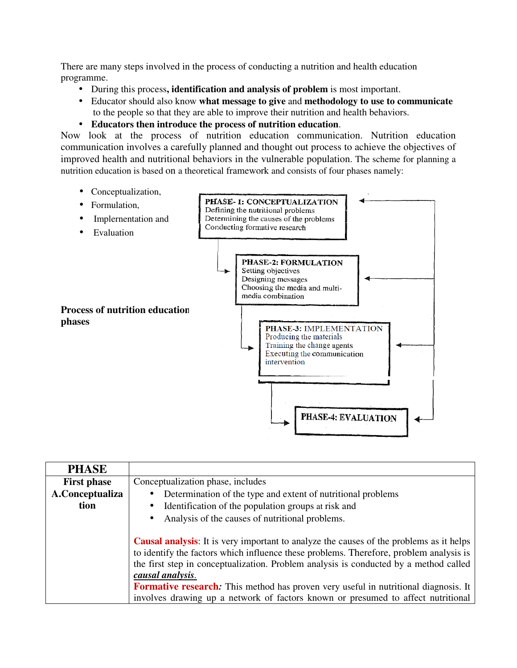There are many steps involved in the process of conducting a nutrition and health education programme.

- During this process**, identification and analysis of problem** is most important.
- Educator should also know **what message to give** and **methodology to use to communicate**  to the people so that they are able to improve their nutrition and health behaviors.
- **Educators then introduce the process of nutrition education**.

Now look at the process of nutrition education communication. Nutrition education communication involves a carefully planned and thought out process to achieve the objectives of improved health and nutritional behaviors in the vulnerable population. The scheme for planning a nutrition education is based on a theoretical framework and consists of four phases namely:

- Conceptualization,
- Formulation,



| <b>PHASE</b>       |                                                                                                |  |
|--------------------|------------------------------------------------------------------------------------------------|--|
| <b>First phase</b> | Conceptualization phase, includes                                                              |  |
| A.Conceptualiza    | Determination of the type and extent of nutritional problems<br>$\bullet$                      |  |
| tion               | Identification of the population groups at risk and<br>$\bullet$                               |  |
|                    | Analysis of the causes of nutritional problems.<br>$\bullet$                                   |  |
|                    |                                                                                                |  |
|                    | <b>Causal analysis:</b> It is very important to analyze the causes of the problems as it helps |  |
|                    | to identify the factors which influence these problems. Therefore, problem analysis is         |  |
|                    | the first step in conceptualization. Problem analysis is conducted by a method called          |  |
|                    | causal analysis.                                                                               |  |
|                    | <b>Formative research:</b> This method has proven very useful in nutritional diagnosis. It     |  |
|                    | involves drawing up a network of factors known or presumed to affect nutritional               |  |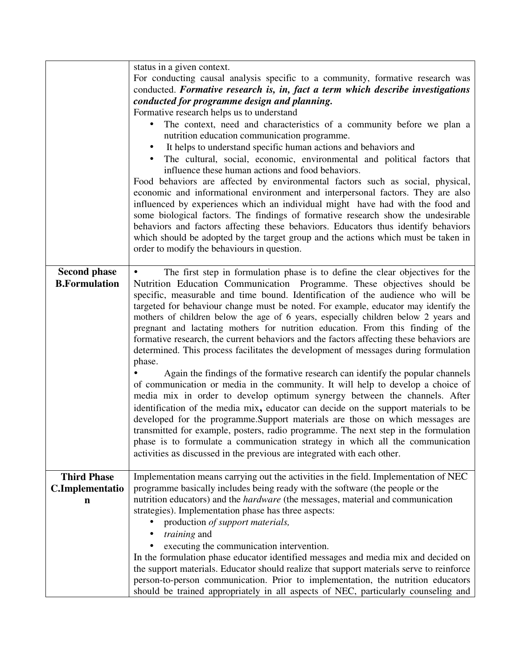|                                             | status in a given context.<br>For conducting causal analysis specific to a community, formative research was<br>conducted. Formative research is, in, fact a term which describe investigations<br>conducted for programme design and planning.<br>Formative research helps us to understand<br>The context, need and characteristics of a community before we plan a<br>nutrition education communication programme.<br>It helps to understand specific human actions and behaviors and<br>$\bullet$<br>The cultural, social, economic, environmental and political factors that<br>influence these human actions and food behaviors.<br>Food behaviors are affected by environmental factors such as social, physical,<br>economic and informational environment and interpersonal factors. They are also<br>influenced by experiences which an individual might have had with the food and<br>some biological factors. The findings of formative research show the undesirable<br>behaviors and factors affecting these behaviors. Educators thus identify behaviors<br>which should be adopted by the target group and the actions which must be taken in<br>order to modify the behaviours in question.                                                                                                                                                                           |
|---------------------------------------------|----------------------------------------------------------------------------------------------------------------------------------------------------------------------------------------------------------------------------------------------------------------------------------------------------------------------------------------------------------------------------------------------------------------------------------------------------------------------------------------------------------------------------------------------------------------------------------------------------------------------------------------------------------------------------------------------------------------------------------------------------------------------------------------------------------------------------------------------------------------------------------------------------------------------------------------------------------------------------------------------------------------------------------------------------------------------------------------------------------------------------------------------------------------------------------------------------------------------------------------------------------------------------------------------------------------------------------------------------------------------------------------|
| <b>Second phase</b><br><b>B.Formulation</b> | The first step in formulation phase is to define the clear objectives for the<br>Nutrition Education Communication Programme. These objectives should be<br>specific, measurable and time bound. Identification of the audience who will be<br>targeted for behaviour change must be noted. For example, educator may identify the<br>mothers of children below the age of 6 years, especially children below 2 years and<br>pregnant and lactating mothers for nutrition education. From this finding of the<br>formative research, the current behaviors and the factors affecting these behaviors are<br>determined. This process facilitates the development of messages during formulation<br>phase.<br>Again the findings of the formative research can identify the popular channels<br>of communication or media in the community. It will help to develop a choice of<br>media mix in order to develop optimum synergy between the channels. After<br>identification of the media mix, educator can decide on the support materials to be<br>developed for the programme.Support materials are those on which messages are<br>transmitted for example, posters, radio programme. The next step in the formulation<br>phase is to formulate a communication strategy in which all the communication<br>activities as discussed in the previous are integrated with each other. |
| <b>Third Phase</b><br>C.Implementatio<br>n  | Implementation means carrying out the activities in the field. Implementation of NEC<br>programme basically includes being ready with the software (the people or the<br>nutrition educators) and the <i>hardware</i> (the messages, material and communication<br>strategies). Implementation phase has three aspects:<br>production of support materials,<br><i>training</i> and<br>executing the communication intervention.<br>In the formulation phase educator identified messages and media mix and decided on<br>the support materials. Educator should realize that support materials serve to reinforce<br>person-to-person communication. Prior to implementation, the nutrition educators<br>should be trained appropriately in all aspects of NEC, particularly counseling and                                                                                                                                                                                                                                                                                                                                                                                                                                                                                                                                                                                            |